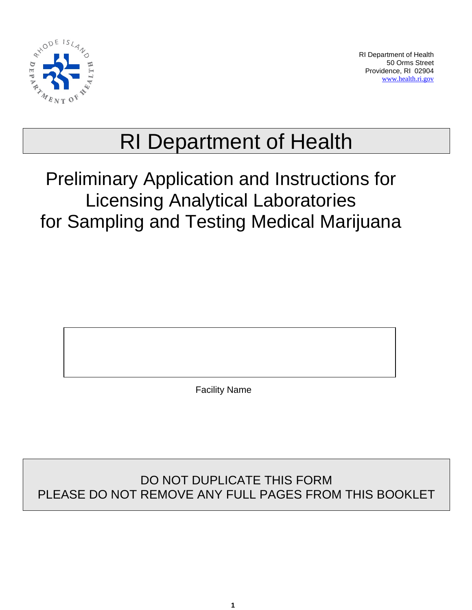

RI Department of Health 50 Orms Street Providence, RI 02904 [www.health.ri.gov](http://www.health.ri.gov/)

# RI Department of Health

## Preliminary Application and Instructions for Licensing Analytical Laboratories for Sampling and Testing Medical Marijuana

Facility Name

## DO NOT DUPLICATE THIS FORM PLEASE DO NOT REMOVE ANY FULL PAGES FROM THIS BOOKLET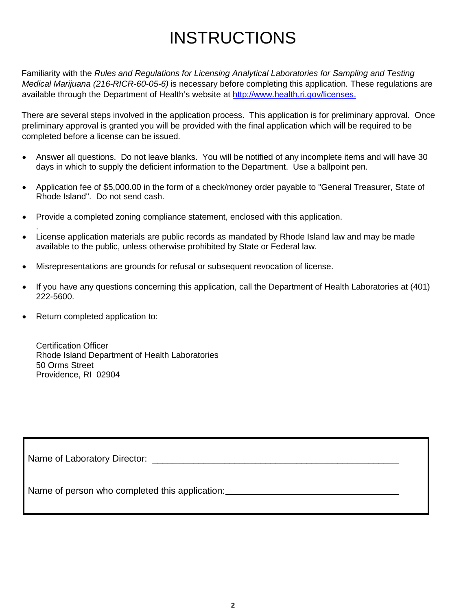## INSTRUCTIONS

Familiarity with the *Rules and Regulations for Licensing Analytical Laboratories for Sampling and Testing Medical Marijuana (216-RICR-60-05-6)* is necessary before completing this application*.* These regulations are available through the Department of Health's website at [http://www.health.ri.gov/licenses.](http://www.health.ri.gov/licenses)

There are several steps involved in the application process. This application is for preliminary approval. Once preliminary approval is granted you will be provided with the final application which will be required to be completed before a license can be issued.

- Answer all questions. Do not leave blanks. You will be notified of any incomplete items and will have 30 days in which to supply the deficient information to the Department. Use a ballpoint pen.
- Application fee of \$5,000.00 in the form of a check/money order payable to "General Treasurer, State of Rhode Island". Do not send cash.
- Provide a completed zoning compliance statement, enclosed with this application.
- License application materials are public records as mandated by Rhode Island law and may be made available to the public, unless otherwise prohibited by State or Federal law.
- Misrepresentations are grounds for refusal or subsequent revocation of license.
- If you have any questions concerning this application, call the Department of Health Laboratories at (401) 222-5600.
- Return completed application to:

.

Certification Officer Rhode Island Department of Health Laboratories 50 Orms Street Providence, RI 02904

Name of Laboratory Director: \_\_\_\_\_\_\_\_\_\_\_\_\_\_\_\_\_\_\_\_\_\_\_\_\_\_\_\_\_\_\_\_\_\_\_\_\_\_\_\_\_\_\_\_\_\_\_\_

Name of person who completed this application: \_\_\_\_\_\_\_\_\_\_\_\_\_\_\_\_\_\_\_\_\_\_\_\_\_\_\_\_\_\_\_\_\_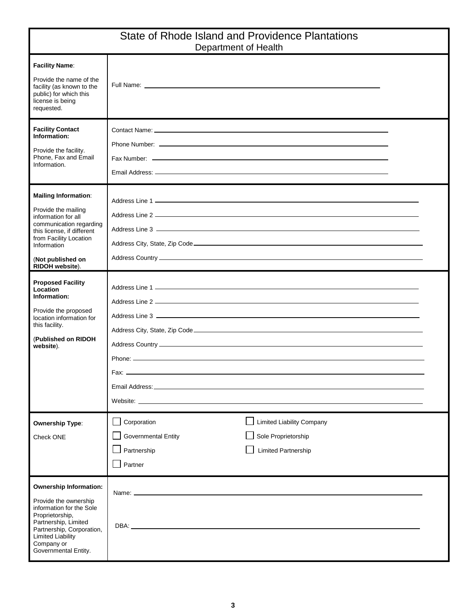| State of Rhode Island and Providence Plantations<br>Department of Health                                                                                                                                                     |                                                                                                                                                                                                                                        |  |  |  |
|------------------------------------------------------------------------------------------------------------------------------------------------------------------------------------------------------------------------------|----------------------------------------------------------------------------------------------------------------------------------------------------------------------------------------------------------------------------------------|--|--|--|
| <b>Facility Name:</b><br>Provide the name of the<br>facility (as known to the<br>public) for which this<br>license is being<br>requested.                                                                                    |                                                                                                                                                                                                                                        |  |  |  |
| <b>Facility Contact</b><br>Information:<br>Provide the facility.<br>Phone, Fax and Email<br>Information.                                                                                                                     |                                                                                                                                                                                                                                        |  |  |  |
| <b>Mailing Information:</b><br>Provide the mailing<br>information for all<br>communication regarding<br>this license, if different<br>from Facility Location<br>Information<br>(Not published on<br>RIDOH website).          |                                                                                                                                                                                                                                        |  |  |  |
| <b>Proposed Facility</b><br>Location<br>Information:<br>Provide the proposed<br>location information for<br>this facility.<br>(Published on RIDOH<br>website).                                                               | Phone: example and a series of the series of the series of the series of the series of the series of the series of the series of the series of the series of the series of the series of the series of the series of the serie<br>Fax: |  |  |  |
| <b>Ownership Type:</b><br>Check ONE                                                                                                                                                                                          | $\mathsf{L}$<br>Corporation<br><b>Limited Liability Company</b><br>Sole Proprietorship<br><b>Governmental Entity</b><br><b>Limited Partnership</b><br>Partnership<br>Partner                                                           |  |  |  |
| <b>Ownership Information:</b><br>Provide the ownership<br>information for the Sole<br>Proprietorship,<br>Partnership, Limited<br>Partnership, Corporation,<br><b>Limited Liability</b><br>Company or<br>Governmental Entity. | Name: __________________<br>DBA: www.astronometer.com/web/2010/07/2010                                                                                                                                                                 |  |  |  |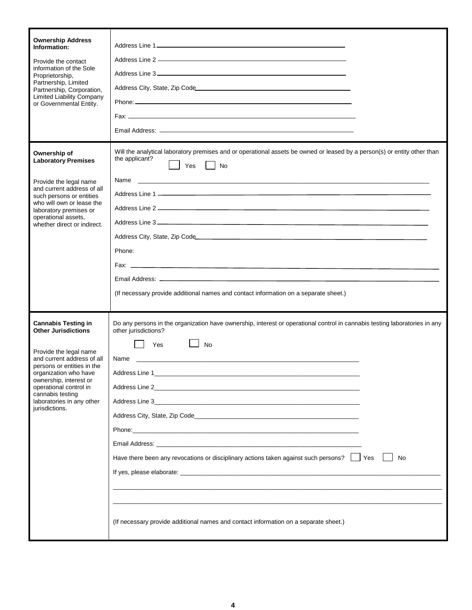| <b>Ownership Address</b><br>Information:<br>Provide the contact<br>information of the Sole<br>Proprietorship,<br>Partnership, Limited<br>Partnership, Corporation,<br><b>Limited Liability Company</b><br>or Governmental Entity.  |                                                                                                                                                                  |
|------------------------------------------------------------------------------------------------------------------------------------------------------------------------------------------------------------------------------------|------------------------------------------------------------------------------------------------------------------------------------------------------------------|
| Ownership of<br><b>Laboratory Premises</b><br>Provide the legal name<br>and current address of all<br>such persons or entities                                                                                                     | Will the analytical laboratory premises and or operational assets be owned or leased by a person(s) or entity other than<br>the applicant?<br>Yes<br><b>No</b>   |
| who will own or lease the<br>laboratory premises or<br>operational assets,<br>whether direct or indirect.                                                                                                                          | Address City, State, Zip Code <b>Address City, State, 2016</b><br>Phone:<br>(If necessary provide additional names and contact information on a separate sheet.) |
|                                                                                                                                                                                                                                    |                                                                                                                                                                  |
| <b>Cannabis Testing in</b><br><b>Other Jurisdictions</b>                                                                                                                                                                           | Do any persons in the organization have ownership, interest or operational control in cannabis testing laboratories in any<br>other jurisdictions?               |
| Provide the legal name<br>and current address of all<br>persons or entities in the<br>organization who have<br>ownership, interest or<br>operational control in<br>cannabis testing<br>laboratories in any other<br>jurisdictions. | <b>No</b><br>Yes<br>Name<br>Have there been any revocations or disciplinary actions taken against such persons?   Yes<br><b>No</b>                               |
|                                                                                                                                                                                                                                    | (If necessary provide additional names and contact information on a separate sheet.)                                                                             |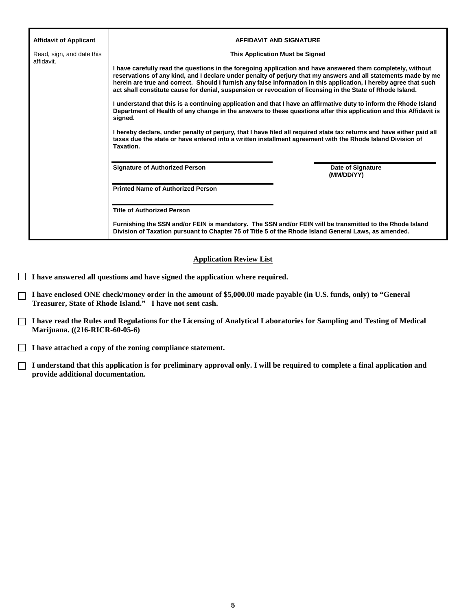| <b>Affidavit of Applicant</b>           | <b>AFFIDAVIT AND SIGNATURE</b>                                                                                                                                                                                                                                                                                                                                                                                                                                   |                                        |
|-----------------------------------------|------------------------------------------------------------------------------------------------------------------------------------------------------------------------------------------------------------------------------------------------------------------------------------------------------------------------------------------------------------------------------------------------------------------------------------------------------------------|----------------------------------------|
| Read, sign, and date this<br>affidavit. | This Application Must be Signed                                                                                                                                                                                                                                                                                                                                                                                                                                  |                                        |
|                                         | I have carefully read the questions in the foregoing application and have answered them completely, without<br>reservations of any kind, and I declare under penalty of perjury that my answers and all statements made by me<br>herein are true and correct. Should I furnish any false information in this application, I hereby agree that such<br>act shall constitute cause for denial, suspension or revocation of licensing in the State of Rhode Island. |                                        |
|                                         | I understand that this is a continuing application and that I have an affirmative duty to inform the Rhode Island<br>Department of Health of any change in the answers to these questions after this application and this Affidavit is<br>signed.                                                                                                                                                                                                                |                                        |
|                                         | I hereby declare, under penalty of perjury, that I have filed all required state tax returns and have either paid all<br>taxes due the state or have entered into a written installment agreement with the Rhode Island Division of<br>Taxation.                                                                                                                                                                                                                 |                                        |
|                                         | <b>Signature of Authorized Person</b>                                                                                                                                                                                                                                                                                                                                                                                                                            | <b>Date of Signature</b><br>(MM/DD/YY) |
|                                         | <b>Printed Name of Authorized Person</b>                                                                                                                                                                                                                                                                                                                                                                                                                         |                                        |
|                                         | <b>Title of Authorized Person</b>                                                                                                                                                                                                                                                                                                                                                                                                                                |                                        |
|                                         | Furnishing the SSN and/or FEIN is mandatory. The SSN and/or FEIN will be transmitted to the Rhode Island<br>Division of Taxation pursuant to Chapter 75 of Title 5 of the Rhode Island General Laws, as amended.                                                                                                                                                                                                                                                 |                                        |

#### **Application Review List**

- **I have answered all questions and have signed the application where required.**
- **I have enclosed ONE check/money order in the amount of \$5,000.00 made payable (in U.S. funds, only) to "General Treasurer, State of Rhode Island." I have not sent cash.**
- **I have read the Rules and Regulations for the Licensing of Analytical Laboratories for Sampling and Testing of Medical Marijuana. ((216-RICR-60-05-6)**
- **I have attached a copy of the zoning compliance statement.**
- **I understand that this application is for preliminary approval only. I will be required to complete a final application and provide additional documentation.**